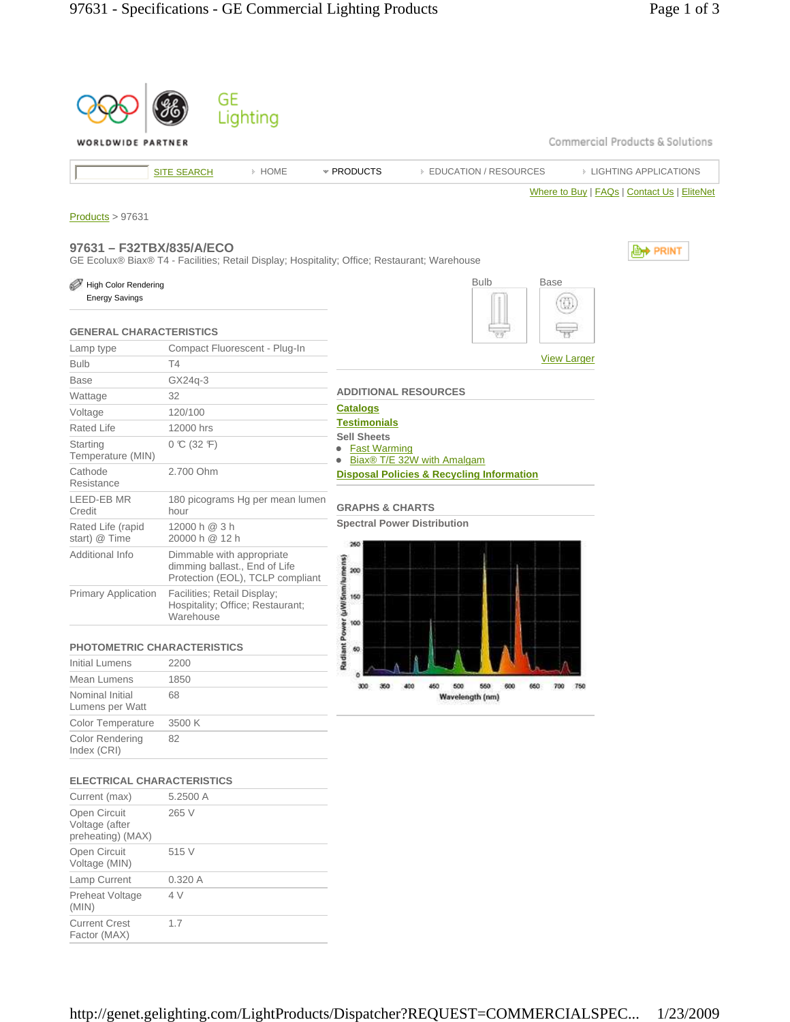|                                                                                              | GE                                                                           | Lighting                         |                                                        |                                                      |                    |                                             |
|----------------------------------------------------------------------------------------------|------------------------------------------------------------------------------|----------------------------------|--------------------------------------------------------|------------------------------------------------------|--------------------|---------------------------------------------|
| WORLDWIDE PARTNER                                                                            |                                                                              |                                  |                                                        |                                                      |                    | Commercial Products & Solutions             |
|                                                                                              | <b>SITE SEARCH</b>                                                           | > HOME                           | * PRODUCTS                                             | <b>EDUCATION / RESOURCES</b>                         |                    | <b>EIGHTING APPLICATIONS</b>                |
|                                                                                              |                                                                              |                                  |                                                        |                                                      |                    | Where to Buy   FAQs   Contact Us   EliteNet |
| Products > 97631                                                                             |                                                                              |                                  |                                                        |                                                      |                    |                                             |
|                                                                                              |                                                                              |                                  |                                                        |                                                      |                    |                                             |
| 97631 - F32TBX/835/A/ECO                                                                     |                                                                              |                                  |                                                        |                                                      |                    | , <b>⊜<del>,</del> PRINT</b>                |
| GE Ecolux® Biax® T4 - Facilities; Retail Display; Hospitality; Office; Restaurant; Warehouse |                                                                              |                                  |                                                        |                                                      |                    |                                             |
| <b>High Color Rendering</b>                                                                  |                                                                              |                                  |                                                        | <b>Bulb</b>                                          | <b>Base</b>        |                                             |
| <b>Energy Savings</b>                                                                        |                                                                              |                                  |                                                        |                                                      |                    |                                             |
| <b>GENERAL CHARACTERISTICS</b>                                                               |                                                                              |                                  |                                                        |                                                      |                    |                                             |
| Lamp type                                                                                    | Compact Fluorescent - Plug-In                                                |                                  |                                                        |                                                      |                    |                                             |
| <b>Bulb</b>                                                                                  | T4                                                                           |                                  |                                                        |                                                      | <b>View Larger</b> |                                             |
| <b>Base</b>                                                                                  | GX24q-3                                                                      |                                  |                                                        |                                                      |                    |                                             |
| Wattage                                                                                      | 32                                                                           |                                  | <b>ADDITIONAL RESOURCES</b>                            |                                                      |                    |                                             |
| Voltage                                                                                      | 120/100                                                                      |                                  | <b>Catalogs</b>                                        |                                                      |                    |                                             |
| <b>Rated Life</b>                                                                            | 12000 hrs                                                                    |                                  | <b>Testimonials</b>                                    |                                                      |                    |                                             |
| Starting                                                                                     | $0 \text{ C} (32 \text{ F})$                                                 |                                  | <b>Sell Sheets</b><br><b>Fast Warming</b><br>$\bullet$ |                                                      |                    |                                             |
| Temperature (MIN)                                                                            |                                                                              |                                  |                                                        | Biax® T/E 32W with Amalgam                           |                    |                                             |
| Cathode<br>Resistance                                                                        | 2.700 Ohm                                                                    |                                  |                                                        | <b>Disposal Policies &amp; Recycling Information</b> |                    |                                             |
| <b>LEED-EB MR</b><br>Credit                                                                  | hour                                                                         | 180 picograms Hg per mean lumen  | <b>GRAPHS &amp; CHARTS</b>                             |                                                      |                    |                                             |
| Rated Life (rapid<br>start) @ Time                                                           | 12000 h @ 3 h<br>20000 h @ 12 h                                              |                                  | <b>Spectral Power Distribution</b><br>260              |                                                      |                    |                                             |
| Additional Info                                                                              | Dimmable with appropriate<br>dimming ballast., End of Life                   | Protection (EOL), TCLP compliant |                                                        |                                                      |                    |                                             |
| <b>Primary Application</b>                                                                   | Facilities; Retail Display;<br>Hospitality; Office; Restaurant;<br>Warehouse |                                  | lant Power (µWi5nm/lumens)<br>8 8 8 8                  |                                                      |                    |                                             |
| <b>PHOTOMETRIC CHARACTERISTICS</b>                                                           |                                                                              |                                  |                                                        |                                                      |                    |                                             |
| <b>Initial Lumens</b>                                                                        | 2200                                                                         |                                  | Rad                                                    |                                                      |                    |                                             |
| <b>Mean Lumens</b>                                                                           | 1850                                                                         |                                  | 300                                                    | 500<br>560<br>600                                    | 660<br>750<br>700  |                                             |
| Nominal Initial<br>Lumens per Watt                                                           | 68                                                                           |                                  |                                                        | Wavelength (nm)                                      |                    |                                             |
| Color Temperature                                                                            | 3500 K                                                                       |                                  |                                                        |                                                      |                    |                                             |
| <b>Color Rendering</b><br>Index (CRI)                                                        | 82                                                                           |                                  |                                                        |                                                      |                    |                                             |
| <b>ELECTRICAL CHARACTERISTICS</b>                                                            |                                                                              |                                  |                                                        |                                                      |                    |                                             |
| Current (max)                                                                                | 5.2500 A                                                                     |                                  |                                                        |                                                      |                    |                                             |
| Open Circuit<br>Voltage (after<br>preheating) (MAX)                                          | 265 V                                                                        |                                  |                                                        |                                                      |                    |                                             |
| Open Circuit<br>Voltage (MIN)                                                                | 515 V                                                                        |                                  |                                                        |                                                      |                    |                                             |
| Lamp Current                                                                                 | 0.320 A                                                                      |                                  |                                                        |                                                      |                    |                                             |
| Preheat Voltage                                                                              | 4 V                                                                          |                                  |                                                        |                                                      |                    |                                             |

(MIN)

Current Crest Factor (MAX)

1.7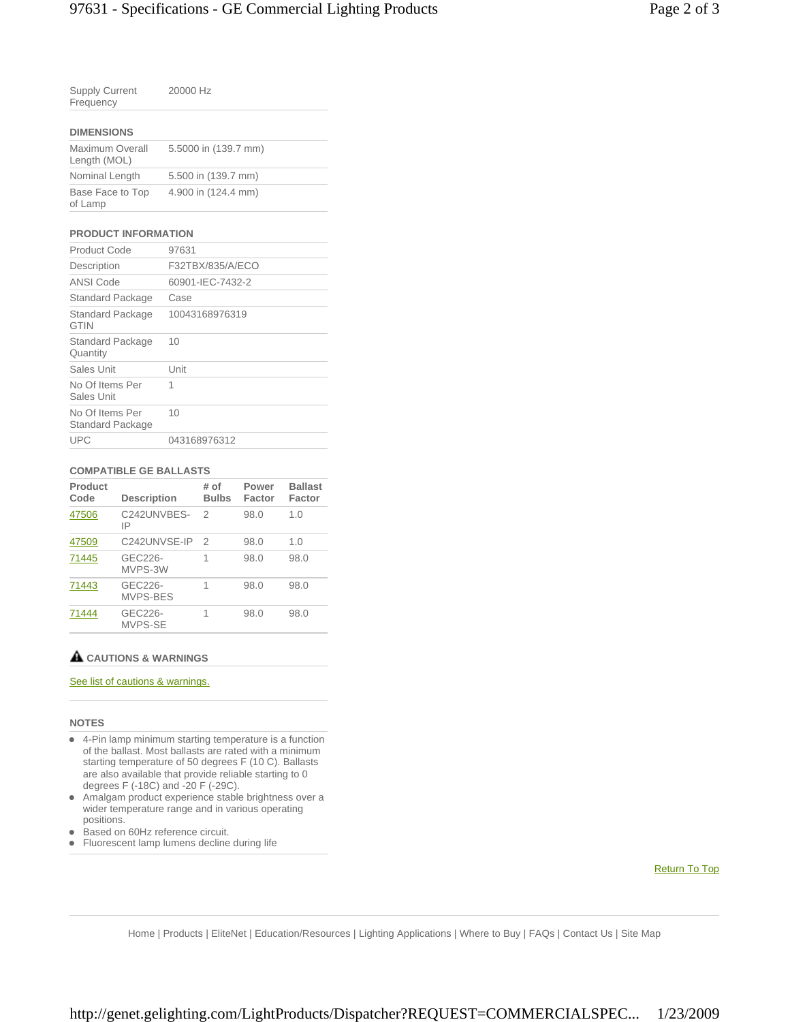| <b>Supply Current</b><br>Frequency | 20000 Hz |  |
|------------------------------------|----------|--|
| <b>DISERIALOUS</b>                 |          |  |

| <b>DIMENSIONS</b>               |                      |  |  |  |  |
|---------------------------------|----------------------|--|--|--|--|
| Maximum Overall<br>Length (MOL) | 5.5000 in (139.7 mm) |  |  |  |  |
| Nominal Length                  | 5.500 in (139.7 mm)  |  |  |  |  |
| Base Face to Top<br>of Lamp     | 4.900 in (124.4 mm)  |  |  |  |  |

## **PRODUCT INFORMATION**

| Product Code                           | 97631            |
|----------------------------------------|------------------|
| Description                            | F32TBX/835/A/ECO |
| ANSI Code                              | 60901-IEC-7432-2 |
| <b>Standard Package</b>                | Case             |
| <b>Standard Package</b><br><b>GTIN</b> | 10043168976319   |
| <b>Standard Package</b><br>Quantity    | 10               |
| Sales Unit                             | Unit             |
| No Of Items Per<br>Sales Unit          | 1                |
| No Of Items Per<br>Standard Package    | 10               |
| UPC                                    | 043168976312     |

### **COMPATIBLE GE BALLASTS**

| Product<br>Code | <b>Description</b>  | # of<br><b>Bulbs</b> | Power<br>Factor | <b>Ballast</b><br>Factor |
|-----------------|---------------------|----------------------|-----------------|--------------------------|
| 47506           | C242UNVBES-<br>IP   | $\mathcal{P}$        | 98.0            | 1.0                      |
| 47509           | C242UNVSE-IP        | 2                    | 98.0            | 1.0                      |
| 71445           | GEC226-<br>MVPS-3W  | 1                    | 98.0            | 98.0                     |
| 71443           | GEC226-<br>MVPS-BES | 1                    | 98.0            | 98.0                     |
| 71444           | GEC226-<br>MVPS-SE  | 1                    | 98.0            | 98.0                     |

# **CAUTIONS & WARNINGS**

## See list of cautions & warnings.

#### **NOTES**

- 4-Pin lamp minimum starting temperature is a function of the ballast. Most ballasts are rated with a minimum starting temperature of 50 degrees F (10 C). Ballasts are also available that provide reliable starting to 0 degrees F (-18C) and -20 F (-29C).
- Amalgam product experience stable brightness over a wider temperature range and in various operating positions.
- Based on 60Hz reference circuit.
- Fluorescent lamp lumens decline during life

Return To Top

Home | Products | EliteNet | Education/Resources | Lighting Applications | Where to Buy | FAQs | Contact Us | Site Map